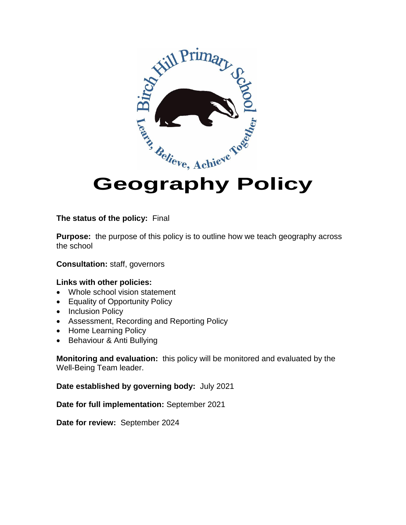

# **Geography Policy**

#### **The status of the policy:** Final

**Purpose:** the purpose of this policy is to outline how we teach geography across the school

**Consultation:** staff, governors

#### **Links with other policies:**

- Whole school vision statement
- Equality of Opportunity Policy
- Inclusion Policy
- Assessment, Recording and Reporting Policy
- Home Learning Policy
- Behaviour & Anti Bullying

**Monitoring and evaluation:** this policy will be monitored and evaluated by the Well-Being Team leader.

**Date established by governing body:** July 2021

**Date for full implementation:** September 2021

**Date for review:** September 2024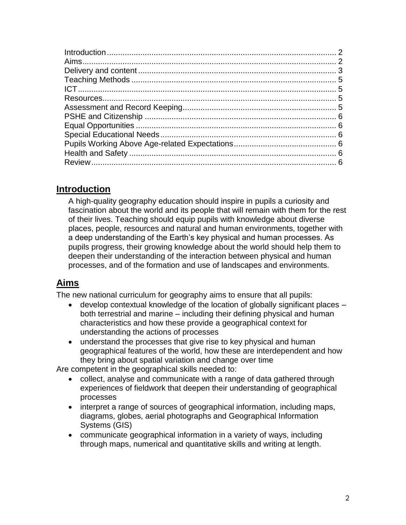# **Introduction**

A high-quality geography education should inspire in pupils a curiosity and fascination about the world and its people that will remain with them for the rest of their lives. Teaching should equip pupils with knowledge about diverse places, people, resources and natural and human environments, together with a deep understanding of the Earth's key physical and human processes. As pupils progress, their growing knowledge about the world should help them to deepen their understanding of the interaction between physical and human processes, and of the formation and use of landscapes and environments.

# **Aims**

The new national curriculum for geography aims to ensure that all pupils:

- develop contextual knowledge of the location of globally significant places both terrestrial and marine – including their defining physical and human characteristics and how these provide a geographical context for understanding the actions of processes
- understand the processes that give rise to key physical and human geographical features of the world, how these are interdependent and how they bring about spatial variation and change over time

Are competent in the geographical skills needed to:

- collect, analyse and communicate with a range of data gathered through experiences of fieldwork that deepen their understanding of geographical processes
- interpret a range of sources of geographical information, including maps, diagrams, globes, aerial photographs and Geographical Information Systems (GIS)
- communicate geographical information in a variety of ways, including through maps, numerical and quantitative skills and writing at length.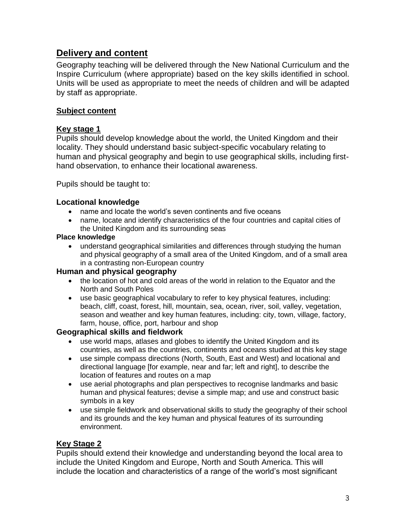## **Delivery and content**

Geography teaching will be delivered through the New National Curriculum and the Inspire Curriculum (where appropriate) based on the key skills identified in school. Units will be used as appropriate to meet the needs of children and will be adapted by staff as appropriate.

#### **Subject content**

#### **Key stage 1**

Pupils should develop knowledge about the world, the United Kingdom and their locality. They should understand basic subject-specific vocabulary relating to human and physical geography and begin to use geographical skills, including firsthand observation, to enhance their locational awareness.

Pupils should be taught to:

#### **Locational knowledge**

- name and locate the world's seven continents and five oceans
- name, locate and identify characteristics of the four countries and capital cities of the United Kingdom and its surrounding seas

#### **Place knowledge**

 understand geographical similarities and differences through studying the human and physical geography of a small area of the United Kingdom, and of a small area in a contrasting non-European country

#### **Human and physical geography**

- the location of hot and cold areas of the world in relation to the Equator and the North and South Poles
- use basic geographical vocabulary to refer to key physical features, including: beach, cliff, coast, forest, hill, mountain, sea, ocean, river, soil, valley, vegetation, season and weather and key human features, including: city, town, village, factory, farm, house, office, port, harbour and shop

#### **Geographical skills and fieldwork**

- use world maps, atlases and globes to identify the United Kingdom and its countries, as well as the countries, continents and oceans studied at this key stage
- use simple compass directions (North, South, East and West) and locational and directional language [for example, near and far; left and right], to describe the location of features and routes on a map
- use aerial photographs and plan perspectives to recognise landmarks and basic human and physical features; devise a simple map; and use and construct basic symbols in a key
- use simple fieldwork and observational skills to study the geography of their school and its grounds and the key human and physical features of its surrounding environment.

#### **Key Stage 2**

Pupils should extend their knowledge and understanding beyond the local area to include the United Kingdom and Europe, North and South America. This will include the location and characteristics of a range of the world's most significant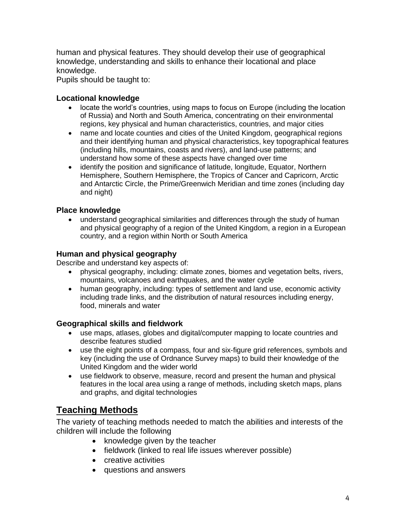human and physical features. They should develop their use of geographical knowledge, understanding and skills to enhance their locational and place knowledge.

Pupils should be taught to:

#### **Locational knowledge**

- locate the world's countries, using maps to focus on Europe (including the location of Russia) and North and South America, concentrating on their environmental regions, key physical and human characteristics, countries, and major cities
- name and locate counties and cities of the United Kingdom, geographical regions and their identifying human and physical characteristics, key topographical features (including hills, mountains, coasts and rivers), and land-use patterns; and understand how some of these aspects have changed over time
- identify the position and significance of latitude, longitude, Equator, Northern Hemisphere, Southern Hemisphere, the Tropics of Cancer and Capricorn, Arctic and Antarctic Circle, the Prime/Greenwich Meridian and time zones (including day and night)

#### **Place knowledge**

 understand geographical similarities and differences through the study of human and physical geography of a region of the United Kingdom, a region in a European country, and a region within North or South America

#### **Human and physical geography**

Describe and understand key aspects of:

- physical geography, including: climate zones, biomes and vegetation belts, rivers, mountains, volcanoes and earthquakes, and the water cycle
- human geography, including: types of settlement and land use, economic activity including trade links, and the distribution of natural resources including energy, food, minerals and water

#### **Geographical skills and fieldwork**

- use maps, atlases, globes and digital/computer mapping to locate countries and describe features studied
- use the eight points of a compass, four and six-figure grid references, symbols and key (including the use of Ordnance Survey maps) to build their knowledge of the United Kingdom and the wider world
- use fieldwork to observe, measure, record and present the human and physical features in the local area using a range of methods, including sketch maps, plans and graphs, and digital technologies

## **Teaching Methods**

The variety of teaching methods needed to match the abilities and interests of the children will include the following

- knowledge given by the teacher
- fieldwork (linked to real life issues wherever possible)
- creative activities
- questions and answers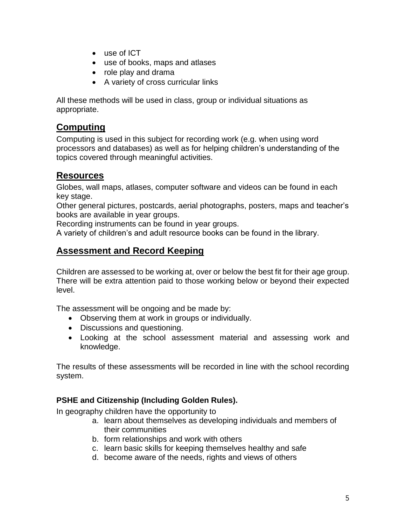- use of ICT
- use of books, maps and atlases
- role play and drama
- A variety of cross curricular links

All these methods will be used in class, group or individual situations as appropriate.

## **Computing**

Computing is used in this subject for recording work (e.g. when using word processors and databases) as well as for helping children's understanding of the topics covered through meaningful activities.

### **Resources**

Globes, wall maps, atlases, computer software and videos can be found in each key stage.

Other general pictures, postcards, aerial photographs, posters, maps and teacher's books are available in year groups.

Recording instruments can be found in year groups.

A variety of children's and adult resource books can be found in the library.

## **Assessment and Record Keeping**

Children are assessed to be working at, over or below the best fit for their age group. There will be extra attention paid to those working below or beyond their expected level.

The assessment will be ongoing and be made by:

- Observing them at work in groups or individually.
- Discussions and questioning.
- Looking at the school assessment material and assessing work and knowledge.

The results of these assessments will be recorded in line with the school recording system.

#### **PSHE and Citizenship (Including Golden Rules).**

In geography children have the opportunity to

- a. learn about themselves as developing individuals and members of their communities
- b. form relationships and work with others
- c. learn basic skills for keeping themselves healthy and safe
- d. become aware of the needs, rights and views of others